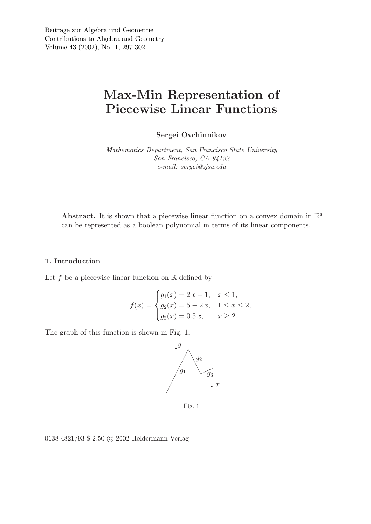# Max-Min Representation of Piecewise Linear Functions

Sergei Ovchinnikov

*Mathematics Department, San Francisco State University San Francisco, CA 94132 e-mail: sergei@sfsu.edu*

Abstract. It is shown that a piecewise linear function on a convex domain in  $\mathbb{R}^d$ can be represented as a boolean polynomial in terms of its linear components.

## 1. Introduction

Let f be a piecewise linear function on  $\mathbb R$  defined by

$$
f(x) = \begin{cases} g_1(x) = 2x + 1, & x \le 1, \\ g_2(x) = 5 - 2x, & 1 \le x \le 2, \\ g_3(x) = 0.5 x, & x \ge 2. \end{cases}
$$

The graph of this function is shown in Fig. 1.



0138-4821/93 \$ 2.50 C 2002 Heldermann Verlag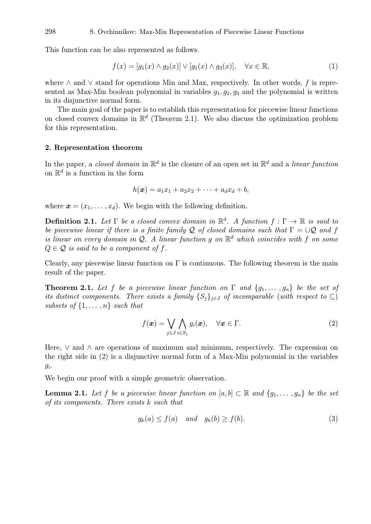This function can be also represented as follows.

$$
f(x) = [g_1(x) \wedge g_2(x)] \vee [g_1(x) \wedge g_3(x)], \quad \forall x \in \mathbb{R}, \tag{1}
$$

where  $\wedge$  and  $\vee$  stand for operations Min and Max, respectively. In other words, f is represented as Max-Min boolean polynomial in variables  $g_1, g_2, g_3$  and the polynomial is written in its disjunctive normal form.

The main goal of the paper is to establish this representation for piecewise linear functions on closed convex domains in  $\mathbb{R}^d$  (Theorem 2.1). We also discuss the optimization problem for this representation.

#### 2. Representation theorem

In the paper, a *closed domain* in  $\mathbb{R}^d$  is the closure of an open set in  $\mathbb{R}^d$  and a *linear function* on  $\mathbb{R}^d$  is a function in the form

$$
h(\boldsymbol{x}) = a_1x_1 + a_2x_2 + \cdots + a_dx_d + b,
$$

where  $\mathbf{x} = (x_1, \dots, x_d)$ . We begin with the following definition.

**Definition 2.1.** Let  $\Gamma$  be a closed convex domain in  $\mathbb{R}^d$ . A function  $f : \Gamma \to \mathbb{R}$  is said to *be piecewise linear if there is a finite family* Q *of closed domains such that* Γ = ∪Q *and* f *is linear on every domain in* Q*. A linear function* g *on* R <sup>d</sup> *which coincides with* f *on some*  $Q \in \mathcal{Q}$  *is said to be a component of f.* 

Clearly, any piecewise linear function on  $\Gamma$  is continuous. The following theorem is the main result of the paper.

**Theorem 2.1.** Let f be a piecewise linear function on  $\Gamma$  and  $\{g_1, \ldots, g_n\}$  be the set of *its distinct components. There exists a family*  $\{S_i\}_{i\in J}$  *of incomparable* (*with respect to*  $\subseteq$ ) *subsets of*  $\{1, \ldots, n\}$  *such that* 

$$
f(\boldsymbol{x}) = \bigvee_{j \in J} \bigwedge_{i \in S_j} g_i(\boldsymbol{x}), \quad \forall \boldsymbol{x} \in \Gamma.
$$
 (2)

Here,  $\vee$  and  $\wedge$  are operations of maximum and minimum, respectively. The expression on the right side in (2) is a disjunctive normal form of a Max-Min polynomial in the variables  $g_i$ .

We begin our proof with a simple geometric observation.

**Lemma 2.1.** Let f be a piecewise linear function on  $[a, b] \subset \mathbb{R}$  and  $\{q_1, \ldots, q_n\}$  be the set *of its components. There exists* k *such that*

$$
g_k(a) \le f(a) \quad and \quad g_k(b) \ge f(b). \tag{3}
$$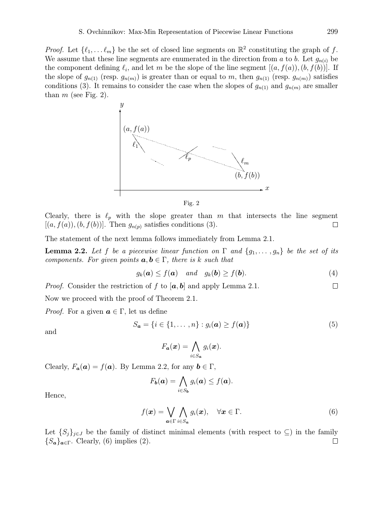*Proof.* Let  $\{\ell_1, \ldots \ell_m\}$  be the set of closed line segments on  $\mathbb{R}^2$  constituting the graph of f. We assume that these line segments are enumerated in the direction from a to b. Let  $g_{n(i)}$  be the component defining  $\ell_i$ , and let m be the slope of the line segment  $[(a, f(a)), (b, f(b))]$ . If the slope of  $g_{n(1)}$  (resp.  $g_{n(m)}$ ) is greater than or equal to m, then  $g_{n(1)}$  (resp.  $g_{n(m)}$ ) satisfies conditions (3). It remains to consider the case when the slopes of  $g_{n(1)}$  and  $g_{n(m)}$  are smaller than  $m$  (see Fig. 2).





Clearly, there is  $\ell_p$  with the slope greater than m that intersects the line segment  $[(a, f(a)), (b, f(b))]$ . Then  $g_{n(p)}$  satisfies conditions (3).  $\Box$ 

The statement of the next lemma follows immediately from Lemma 2.1.

**Lemma 2.2.** Let f be a piecewise linear function on  $\Gamma$  and  $\{g_1, \ldots, g_n\}$  be the set of its *components. For given points*  $a, b \in \Gamma$ , there is k such that

$$
g_k(\mathbf{a}) \le f(\mathbf{a}) \quad and \quad g_k(\mathbf{b}) \ge f(\mathbf{b}).
$$
 (4)

*Proof.* Consider the restriction of f to  $[a, b]$  and apply Lemma 2.1.  $\Box$ 

Now we proceed with the proof of Theorem 2.1.

*Proof.* For a given  $a \in \Gamma$ , let us define

$$
S_{\mathbf{a}} = \{i \in \{1, \ldots, n\} : g_i(\mathbf{a}) \ge f(\mathbf{a})\}
$$
\n<sup>(5)</sup>

and

$$
F_{\boldsymbol{a}}(\boldsymbol{x}) = \bigwedge_{i \in S_{\boldsymbol{a}}} g_i(\boldsymbol{x}).
$$

Clearly,  $F_{\boldsymbol{a}}(\boldsymbol{a}) = f(\boldsymbol{a})$ . By Lemma 2.2, for any  $\boldsymbol{b} \in \Gamma$ ,

$$
F_{\boldsymbol{b}}(\boldsymbol{a}) = \bigwedge_{i \in S_{\boldsymbol{b}}} g_i(\boldsymbol{a}) \leq f(\boldsymbol{a}).
$$

Hence,

$$
f(\boldsymbol{x}) = \bigvee_{\boldsymbol{a} \in \Gamma} \bigwedge_{i \in S_{\boldsymbol{a}}} g_i(\boldsymbol{x}), \quad \forall \boldsymbol{x} \in \Gamma.
$$
 (6)

Let  $\{S_j\}_{j\in J}$  be the family of distinct minimal elements (with respect to  $\subseteq$ ) in the family  ${S_a}_{a \in \Gamma}$ . Clearly, (6) implies (2).  $\Box$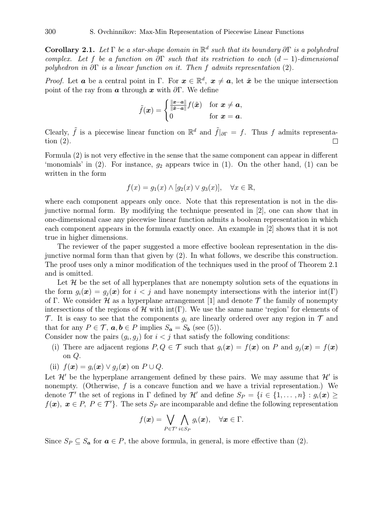Corollary 2.1. *Let* Γ *be a star-shape domain in* R d *such that its boundary* ∂Γ *is a polyhedral complex. Let* f *be a function on* ∂Γ *such that its restriction to each* (d − 1)*-dimensional polyhedron in* ∂Γ *is a linear function on it. Then* f *admits representation* (2)*.*

*Proof.* Let **a** be a central point in  $\Gamma$ . For  $\mathbf{x} \in \mathbb{R}^d$ ,  $\mathbf{x} \neq \mathbf{a}$ , let  $\tilde{\mathbf{x}}$  be the unique intersection point of the ray from  $\boldsymbol{a}$  through  $\boldsymbol{x}$  with  $\partial \Gamma$ . We define

$$
\tilde{f}(\boldsymbol{x}) = \begin{cases} \frac{\|\boldsymbol{x} - \boldsymbol{a}\|}{\|\tilde{\boldsymbol{x}} - \boldsymbol{a}\|} f(\tilde{\boldsymbol{x}}) & \text{for } \boldsymbol{x} \neq \boldsymbol{a}, \\ 0 & \text{for } \boldsymbol{x} = \boldsymbol{a}. \end{cases}
$$

Clearly,  $\tilde{f}$  is a piecewise linear function on  $\mathbb{R}^d$  and  $\tilde{f}|_{\partial\Gamma} = f$ . Thus f admits representation (2).  $\Box$ 

Formula (2) is not very effective in the sense that the same component can appear in different 'monomials' in  $(2)$ . For instance,  $g_2$  appears twice in  $(1)$ . On the other hand,  $(1)$  can be written in the form

$$
f(x) = g_1(x) \land [g_2(x) \lor g_3(x)], \quad \forall x \in \mathbb{R},
$$

where each component appears only once. Note that this representation is not in the disjunctive normal form. By modifying the technique presented in [2], one can show that in one-dimensional case any piecewise linear function admits a boolean representation in which each component appears in the formula exactly once. An example in [2] shows that it is not true in higher dimensions.

The reviewer of the paper suggested a more effective boolean representation in the disjunctive normal form than that given by (2). In what follows, we describe this construction. The proof uses only a minor modification of the techniques used in the proof of Theorem 2.1 and is omitted.

Let  $\mathcal H$  be the set of all hyperplanes that are nonempty solution sets of the equations in the form  $g_i(\mathbf{x}) = g_i(\mathbf{x})$  for  $i < j$  and have nonempty intersections with the interior int(Γ) of Γ. We consider  $H$  as a hyperplane arrangement [1] and denote  $T$  the family of nonempty intersections of the regions of  $\mathcal H$  with int(Γ). We use the same name 'region' for elements of  $\mathcal T$ . It is easy to see that the components  $g_i$  are linearly ordered over any region in  $\mathcal T$  and that for any  $P \in \mathcal{T}$ ,  $\mathbf{a}, \mathbf{b} \in P$  implies  $S_{\mathbf{a}} = S_{\mathbf{b}}$  (see (5)).

Consider now the pairs  $(g_i, g_j)$  for  $i < j$  that satisfy the following conditions:

(i) There are adjacent regions  $P, Q \in \mathcal{T}$  such that  $g_i(\mathbf{x}) = f(\mathbf{x})$  on P and  $g_i(\mathbf{x}) = f(\mathbf{x})$ on Q.

(ii) 
$$
f(\mathbf{x}) = g_i(\mathbf{x}) \vee g_j(\mathbf{x})
$$
 on  $P \cup Q$ .

Let  $\mathcal{H}'$  be the hyperplane arrangement defined by these pairs. We may assume that  $\mathcal{H}'$  is nonempty. (Otherwise,  $f$  is a concave function and we have a trivial representation.) We denote  $\mathcal{T}'$  the set of regions in  $\Gamma$  defined by  $\mathcal{H}'$  and define  $S_P = \{i \in \{1, \ldots, n\} : g_i(\bm{x}) \geq 0\}$  $f(x), x \in P$ ,  $P \in T'$ . The sets  $S_P$  are incomparable and define the following representation

$$
f(\boldsymbol{x}) = \bigvee_{P \in \mathcal{T}'} \bigwedge_{i \in S_P} g_i(\boldsymbol{x}), \quad \forall \boldsymbol{x} \in \Gamma.
$$

Since  $S_P \subseteq S_a$  for  $a \in P$ , the above formula, in general, is more effective than (2).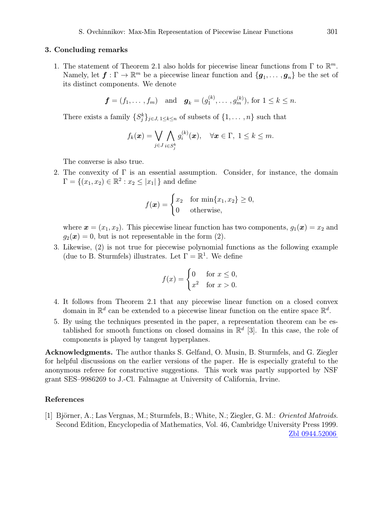#### 3. Concluding remarks

1. The statement of Theorem 2.1 also holds for piecewise linear functions from  $\Gamma$  to  $\mathbb{R}^m$ . Namely, let  $f: \Gamma \to \mathbb{R}^m$  be a piecewise linear function and  $\{g_1, \ldots, g_n\}$  be the set of its distinct components. We denote

$$
f = (f_1, ..., f_m)
$$
 and  $g_k = (g_1^{(k)}, ..., g_m^{(k)})$ , for  $1 \le k \le n$ .

There exists a family  $\{S_j^k\}_{j\in J, 1\leq k\leq n}$  of subsets of  $\{1, \ldots, n\}$  such that

$$
f_k(\boldsymbol{x}) = \bigvee_{j \in J} \bigwedge_{i \in S_j^k} g_i^{(k)}(\boldsymbol{x}), \quad \forall \boldsymbol{x} \in \Gamma, \ 1 \leq k \leq m.
$$

The converse is also true.

2. The convexity of  $\Gamma$  is an essential assumption. Consider, for instance, the domain  $\Gamma = \{(x_1, x_2) \in \mathbb{R}^2 : x_2 \leq |x_1| \}$  and define

$$
f(\boldsymbol{x}) = \begin{cases} x_2 & \text{for min}\{x_1, x_2\} \ge 0, \\ 0 & \text{otherwise,} \end{cases}
$$

where  $\mathbf{x} = (x_1, x_2)$ . This piecewise linear function has two components,  $g_1(\mathbf{x}) = x_2$  and  $g_2(\mathbf{x}) = 0$ , but is not representable in the form (2).

3. Likewise, (2) is not true for piecewise polynomial functions as the following example (due to B. Sturmfels) illustrates. Let  $\Gamma = \mathbb{R}^1$ . We define

$$
f(x) = \begin{cases} 0 & \text{for } x \le 0, \\ x^2 & \text{for } x > 0. \end{cases}
$$

- 4. It follows from Theorem 2.1 that any piecewise linear function on a closed convex domain in  $\mathbb{R}^d$  can be extended to a piecewise linear function on the entire space  $\mathbb{R}^d$ .
- 5. By using the techniques presented in the paper, a representation theorem can be established for smooth functions on closed domains in  $\mathbb{R}^d$  [3]. In this case, the role of components is played by tangent hyperplanes.

Acknowledgments. The author thanks S. Gelfand, O. Musin, B. Sturmfels, and G. Ziegler for helpful discussions on the earlier versions of the paper. He is especially grateful to the anonymous referee for constructive suggestions. This work was partly supported by NSF grant SES–9986269 to J.-Cl. Falmagne at University of California, Irvine.

### References

[1] Björner, A.; Las Vergnas, M.; Sturmfels, B.; White, N.; Ziegler, G. M.: *Oriented Matroids*. Second Edition, Encyclopedia of Mathematics, Vol. 46, Cambridge University Press 1999. [Zbl 0944.52006](http://www.emis.de/MATH-item?0944.52006)